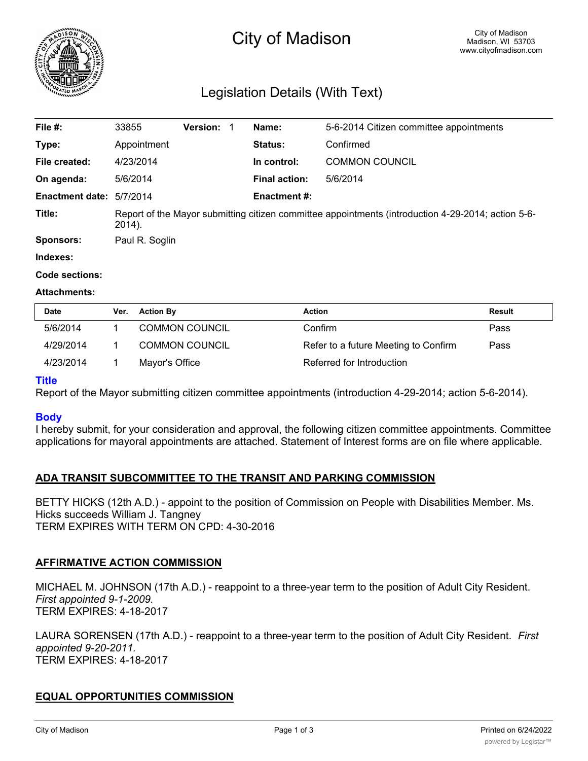

# City of Madison

# Legislation Details (With Text)

| File #:                  | 33855                                                                                                        | <b>Version: 1</b> |  | Name:                | 5-6-2014 Citizen committee appointments |  |
|--------------------------|--------------------------------------------------------------------------------------------------------------|-------------------|--|----------------------|-----------------------------------------|--|
| Type:                    | Appointment                                                                                                  |                   |  | Status:              | Confirmed                               |  |
| File created:            | 4/23/2014                                                                                                    |                   |  | In control:          | <b>COMMON COUNCIL</b>                   |  |
| On agenda:               | 5/6/2014                                                                                                     |                   |  | <b>Final action:</b> | 5/6/2014                                |  |
| Enactment date: 5/7/2014 |                                                                                                              |                   |  | <b>Enactment #:</b>  |                                         |  |
| Title:                   | Report of the Mayor submitting citizen committee appointments (introduction 4-29-2014; action 5-6-<br>2014). |                   |  |                      |                                         |  |
| <b>Sponsors:</b>         | Paul R. Soglin                                                                                               |                   |  |                      |                                         |  |
| Indexes:                 |                                                                                                              |                   |  |                      |                                         |  |

#### **Code sections:**

#### **Attachments:**

| Date      | Ver. | <b>Action By</b>      | Action                               | Result |
|-----------|------|-----------------------|--------------------------------------|--------|
| 5/6/2014  |      | <b>COMMON COUNCIL</b> | Confirm                              | Pass   |
| 4/29/2014 |      | <b>COMMON COUNCIL</b> | Refer to a future Meeting to Confirm | Pass   |
| 4/23/2014 |      | Mayor's Office        | Referred for Introduction            |        |

# **Title**

Report of the Mayor submitting citizen committee appointments (introduction 4-29-2014; action 5-6-2014).

# **Body**

I hereby submit, for your consideration and approval, the following citizen committee appointments. Committee applications for mayoral appointments are attached. Statement of Interest forms are on file where applicable.

# **ADA TRANSIT SUBCOMMITTEE TO THE TRANSIT AND PARKING COMMISSION**

BETTY HICKS (12th A.D.) - appoint to the position of Commission on People with Disabilities Member. Ms. Hicks succeeds William J. Tangney TERM EXPIRES WITH TERM ON CPD: 4-30-2016

# **AFFIRMATIVE ACTION COMMISSION**

MICHAEL M. JOHNSON (17th A.D.) - reappoint to a three-year term to the position of Adult City Resident. *First appointed 9-1-2009.* TERM EXPIRES: 4-18-2017

LAURA SORENSEN (17th A.D.) - reappoint to a three-year term to the position of Adult City Resident. *First appointed 9-20-2011.* TERM EXPIRES: 4-18-2017

# **EQUAL OPPORTUNITIES COMMISSION**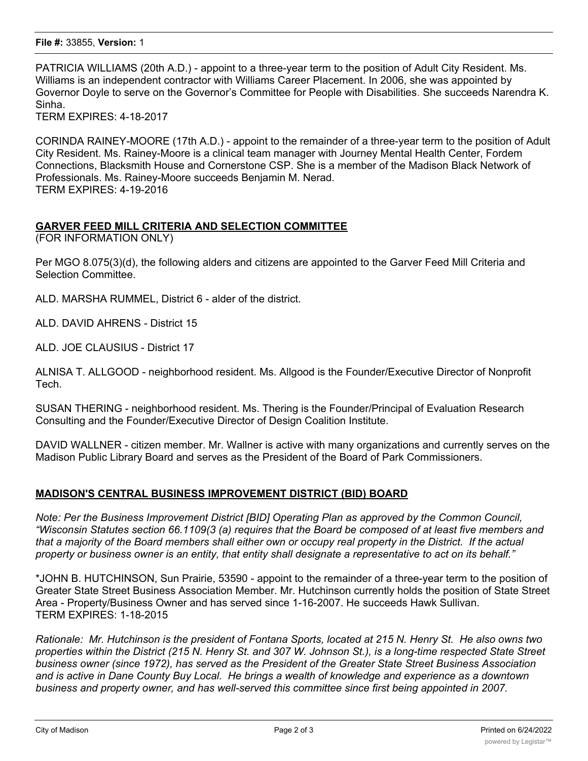PATRICIA WILLIAMS (20th A.D.) - appoint to a three-year term to the position of Adult City Resident. Ms. Williams is an independent contractor with Williams Career Placement. In 2006, she was appointed by Governor Doyle to serve on the Governor's Committee for People with Disabilities. She succeeds Narendra K. Sinha.

TERM EXPIRES: 4-18-2017

CORINDA RAINEY-MOORE (17th A.D.) - appoint to the remainder of a three-year term to the position of Adult City Resident. Ms. Rainey-Moore is a clinical team manager with Journey Mental Health Center, Fordem Connections, Blacksmith House and Cornerstone CSP. She is a member of the Madison Black Network of Professionals. Ms. Rainey-Moore succeeds Benjamin M. Nerad. TERM EXPIRES: 4-19-2016

# **GARVER FEED MILL CRITERIA AND SELECTION COMMITTEE**

(FOR INFORMATION ONLY)

Per MGO 8.075(3)(d), the following alders and citizens are appointed to the Garver Feed Mill Criteria and Selection Committee.

ALD. MARSHA RUMMEL, District 6 - alder of the district.

ALD. DAVID AHRENS - District 15

ALD. JOE CLAUSIUS - District 17

ALNISA T. ALLGOOD - neighborhood resident. Ms. Allgood is the Founder/Executive Director of Nonprofit Tech.

SUSAN THERING - neighborhood resident. Ms. Thering is the Founder/Principal of Evaluation Research Consulting and the Founder/Executive Director of Design Coalition Institute.

DAVID WALLNER - citizen member. Mr. Wallner is active with many organizations and currently serves on the Madison Public Library Board and serves as the President of the Board of Park Commissioners.

# **MADISON'S CENTRAL BUSINESS IMPROVEMENT DISTRICT (BID) BOARD**

*Note: Per the Business Improvement District [BID] Operating Plan as approved by the Common Council, "Wisconsin Statutes section 66.1109(3 (a) requires that the Board be composed of at least five members and that a majority of the Board members shall either own or occupy real property in the District. If the actual property or business owner is an entity, that entity shall designate a representative to act on its behalf."*

\*JOHN B. HUTCHINSON, Sun Prairie, 53590 - appoint to the remainder of a three-year term to the position of Greater State Street Business Association Member. Mr. Hutchinson currently holds the position of State Street Area - Property/Business Owner and has served since 1-16-2007. He succeeds Hawk Sullivan. TERM EXPIRES: 1-18-2015

*Rationale: Mr. Hutchinson is the president of Fontana Sports, located at 215 N. Henry St. He also owns two properties within the District (215 N. Henry St. and 307 W. Johnson St.), is a long-time respected State Street business owner (since 1972), has served as the President of the Greater State Street Business Association and is active in Dane County Buy Local. He brings a wealth of knowledge and experience as a downtown business and property owner, and has well-served this committee since first being appointed in 2007.*